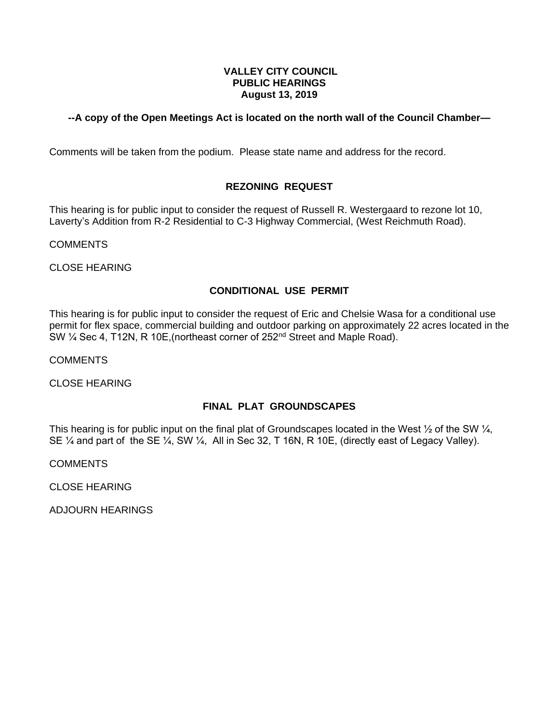## **VALLEY CITY COUNCIL PUBLIC HEARINGS August 13, 2019**

## **--A copy of the Open Meetings Act is located on the north wall of the Council Chamber—**

Comments will be taken from the podium. Please state name and address for the record.

## **REZONING REQUEST**

This hearing is for public input to consider the request of Russell R. Westergaard to rezone lot 10, Laverty's Addition from R-2 Residential to C-3 Highway Commercial, (West Reichmuth Road).

COMMENTS

CLOSE HEARING

## **CONDITIONAL USE PERMIT**

This hearing is for public input to consider the request of Eric and Chelsie Wasa for a conditional use permit for flex space, commercial building and outdoor parking on approximately 22 acres located in the SW ¼ Sec 4, T12N, R 10E,(northeast corner of 252nd Street and Maple Road).

COMMENTS

CLOSE HEARING

### **FINAL PLAT GROUNDSCAPES**

This hearing is for public input on the final plat of Groundscapes located in the West  $\frac{1}{2}$  of the SW  $\frac{1}{4}$ , SE ¼ and part of the SE ¼, SW ¼, All in Sec 32, T 16N, R 10E, (directly east of Legacy Valley).

COMMENTS

CLOSE HEARING

ADJOURN HEARINGS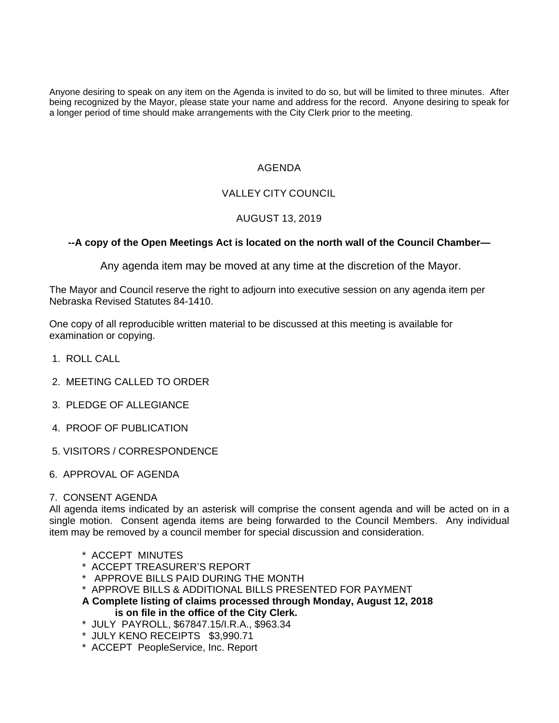Anyone desiring to speak on any item on the Agenda is invited to do so, but will be limited to three minutes. After being recognized by the Mayor, please state your name and address for the record. Anyone desiring to speak for a longer period of time should make arrangements with the City Clerk prior to the meeting.

# AGENDA

# VALLEY CITY COUNCIL

# AUGUST 13, 2019

# **--A copy of the Open Meetings Act is located on the north wall of the Council Chamber—**

Any agenda item may be moved at any time at the discretion of the Mayor.

The Mayor and Council reserve the right to adjourn into executive session on any agenda item per Nebraska Revised Statutes 84-1410.

One copy of all reproducible written material to be discussed at this meeting is available for examination or copying.

- 1. ROLL CALL
- 2. MEETING CALLED TO ORDER
- 3. PLEDGE OF ALLEGIANCE
- 4. PROOF OF PUBLICATION
- 5. VISITORS / CORRESPONDENCE
- 6. APPROVAL OF AGENDA

### 7. CONSENT AGENDA

All agenda items indicated by an asterisk will comprise the consent agenda and will be acted on in a single motion. Consent agenda items are being forwarded to the Council Members. Any individual item may be removed by a council member for special discussion and consideration.

- \* ACCEPT MINUTES
- \* ACCEPT TREASURER'S REPORT
- \* APPROVE BILLS PAID DURING THE MONTH
- \* APPROVE BILLS & ADDITIONAL BILLS PRESENTED FOR PAYMENT
- **A Complete listing of claims processed through Monday, August 12, 2018 is on file in the office of the City Clerk.**
- \* JULY PAYROLL, \$67847.15/I.R.A., \$963.34
- \* JULY KENO RECEIPTS \$3,990.71
- \* ACCEPT PeopleService, Inc. Report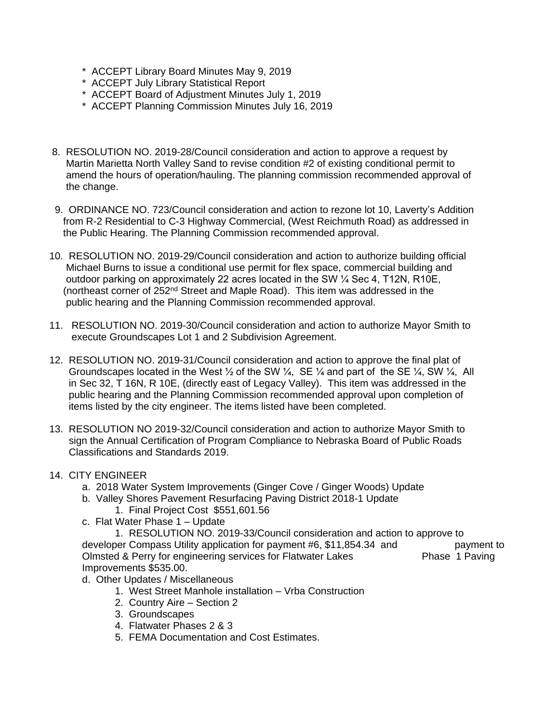- \* ACCEPT Library Board Minutes May 9, 2019
- \* ACCEPT July Library Statistical Report
- \* ACCEPT Board of Adjustment Minutes July 1, 2019
- \* ACCEPT Planning Commission Minutes July 16, 2019
- 8. RESOLUTION NO. 2019-28/Council consideration and action to approve a request by Martin Marietta North Valley Sand to revise condition #2 of existing conditional permit to amend the hours of operation/hauling. The planning commission recommended approval of the change.
- 9. ORDINANCE NO. 723/Council consideration and action to rezone lot 10, Laverty's Addition from R-2 Residential to C-3 Highway Commercial, (West Reichmuth Road) as addressed in the Public Hearing. The Planning Commission recommended approval.
- 10. RESOLUTION NO. 2019-29/Council consideration and action to authorize building official Michael Burns to issue a conditional use permit for flex space, commercial building and outdoor parking on approximately 22 acres located in the SW ¼ Sec 4, T12N, R10E, (northeast corner of 252nd Street and Maple Road). This item was addressed in the public hearing and the Planning Commission recommended approval.
- 11. RESOLUTION NO. 2019-30/Council consideration and action to authorize Mayor Smith to execute Groundscapes Lot 1 and 2 Subdivision Agreement.
- 12. RESOLUTION NO. 2019-31/Council consideration and action to approve the final plat of Groundscapes located in the West  $\frac{1}{2}$  of the SW  $\frac{1}{4}$ , SE  $\frac{1}{4}$  and part of the SE  $\frac{1}{4}$ , SW  $\frac{1}{4}$ , All in Sec 32, T 16N, R 10E, (directly east of Legacy Valley). This item was addressed in the public hearing and the Planning Commission recommended approval upon completion of items listed by the city engineer. The items listed have been completed.
- 13. RESOLUTION NO 2019-32/Council consideration and action to authorize Mayor Smith to sign the Annual Certification of Program Compliance to Nebraska Board of Public Roads Classifications and Standards 2019.
- 14. CITY ENGINEER
	- a. 2018 Water System Improvements (Ginger Cove / Ginger Woods) Update
	- b. Valley Shores Pavement Resurfacing Paving District 2018-1 Update 1. Final Project Cost \$551,601.56
	- c. Flat Water Phase 1 Update

1. RESOLUTION NO. 2019-33/Council consideration and action to approve to developer Compass Utility application for payment #6, \$11,854.34 and payment to Olmsted & Perry for engineering services for Flatwater Lakes Phase 1 Paving Improvements \$535.00.

- d. Other Updates / Miscellaneous
	- 1. West Street Manhole installation Vrba Construction
	- 2. Country Aire Section 2
	- 3. Groundscapes
	- 4. Flatwater Phases 2 & 3
	- 5. FEMA Documentation and Cost Estimates.